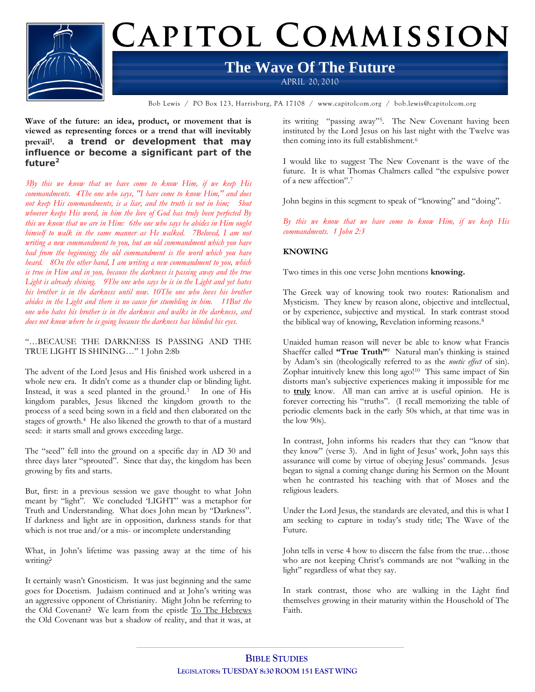

# CAPITOL COMMISSION

## **The Wave Of The Future**

APRIL 20, 2010

Bob Lewis / PO Box 123, Harrisburg, PA 17108 / www.capitolcom.org / bob.lewis@capitolcom.org

**Wave of the future: an idea, product, or movement that is viewed as representing forces or a trend that will inevitably prevail<sup>1</sup> . a trend or development that may influence or become a significant part of the future<sup>2</sup>**

*3By this we know that we have come to know Him, if we keep His commandments. 4The one who says, "I have come to know Him," and does not keep His commandments, is a liar, and the truth is not in him; 5but whoever keeps His word, in him the love of God has truly been perfected By this we know that we are in Him: 6the one who says he abides in Him ought himself to walk in the same manner as He walked. 7Beloved, I am not writing a new commandment to you, but an old commandment which you have had from the beginning; the old commandment is the word which you have heard. 8On the other hand, I am writing a new commandment to you, which is true in Him and in you, because the darkness is passing away and the true Light is already shining. 9The one who says he is in the Light and yet hates his brother is in the darkness until now. 10The one who loves his brother abides in the Light and there is no cause for stumbling in him. 11But the one who hates his brother is in the darkness and walks in the darkness, and does not know where he is going because the darkness has blinded his eyes.*

"…BECAUSE THE DARKNESS IS PASSING AND THE TRUE LIGHT IS SHINING…" 1 John 2:8b

The advent of the Lord Jesus and His finished work ushered in a whole new era. It didn't come as a thunder clap or blinding light. Instead, it was a seed planted in the ground.<sup>3</sup> In one of His kingdom parables, Jesus likened the kingdom growth to the process of a seed being sown in a field and then elaborated on the stages of growth.<sup>4</sup> He also likened the growth to that of a mustard seed: it starts small and grows exceeding large.

The "seed" fell into the ground on a specific day in AD 30 and three days later "sprouted". Since that day, the kingdom has been growing by fits and starts.

But, first: in a previous session we gave thought to what John meant by "light". We concluded 'LIGHT" was a metaphor for Truth and Understanding. What does John mean by "Darkness". If darkness and light are in opposition, darkness stands for that which is not true and/or a mis- or incomplete understanding

What, in John"s lifetime was passing away at the time of his writing?

It certainly wasn"t Gnosticism. It was just beginning and the same goes for Docetism. Judaism continued and at John"s writing was an aggressive opponent of Christianity. Might John be referring to the Old Covenant? We learn from the epistle To The Hebrews the Old Covenant was but a shadow of reality, and that it was, at

its writing "passing away"<sup>5</sup> . The New Covenant having been instituted by the Lord Jesus on his last night with the Twelve was then coming into its full establishment.<sup>6</sup>

I would like to suggest The New Covenant is the wave of the future. It is what Thomas Chalmers called "the expulsive power of a new affection".<sup>7</sup>

John begins in this segment to speak of "knowing" and "doing".

*By this we know that we have come to know Him, if we keep His commandments. 1 John 2:3*

### **KNOWING**

Two times in this one verse John mentions **knowing.**

The Greek way of knowing took two routes: Rationalism and Mysticism. They knew by reason alone, objective and intellectual, or by experience, subjective and mystical. In stark contrast stood the biblical way of knowing, Revelation informing reasons.<sup>8</sup>

Unaided human reason will never be able to know what Francis Shaeffer called "True Truth"<sup>9</sup> Natural man's thinking is stained by Adam"s sin (theologically referred to as the *noetic effect* of sin). Zophar intuitively knew this long ago!<sup>10</sup> This same impact of Sin distorts man"s subjective experiences making it impossible for me to **truly** know. All man can arrive at is useful opinion. He is forever correcting his "truths". (I recall memorizing the table of periodic elements back in the early 50s which, at that time was in the low 90s).

In contrast, John informs his readers that they can "know that they know" (verse 3). And in light of Jesus" work, John says this assurance will come by virtue of obeying Jesus' commands. Jesus began to signal a coming change during his Sermon on the Mount when he contrasted his teaching with that of Moses and the religious leaders.

Under the Lord Jesus, the standards are elevated, and this is what I am seeking to capture in today"s study title; The Wave of the Future.

John tells in verse 4 how to discern the false from the true…those who are not keeping Christ's commands are not "walking in the light" regardless of what they say.

In stark contrast, those who are walking in the Light find themselves growing in their maturity within the Household of The Faith.